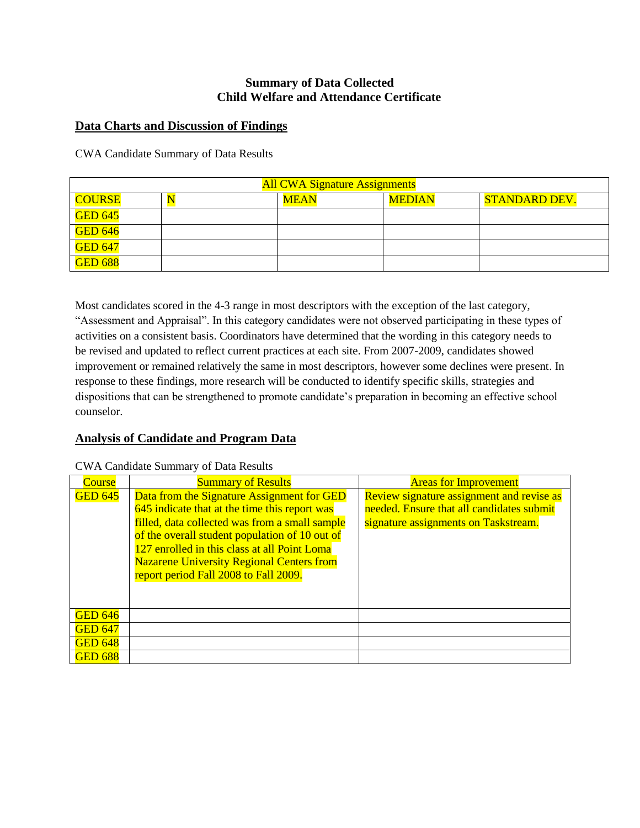# **Summary of Data Collected Child Welfare and Attendance Certificate**

### **Data Charts and Discussion of Findings**

CWA Candidate Summary of Data Results

| <b>All CWA Signature Assignments</b> |  |             |               |                      |
|--------------------------------------|--|-------------|---------------|----------------------|
| <b>COURSE</b>                        |  | <b>MEAN</b> | <b>MEDIAN</b> | <b>STANDARD DEV.</b> |
| <b>GED 645</b>                       |  |             |               |                      |
| <b>GED 646</b>                       |  |             |               |                      |
| <b>GED 647</b>                       |  |             |               |                      |
| <b>GED 688</b>                       |  |             |               |                      |

Most candidates scored in the 4-3 range in most descriptors with the exception of the last category, "Assessment and Appraisal". In this category candidates were not observed participating in these types of activities on a consistent basis. Coordinators have determined that the wording in this category needs to be revised and updated to reflect current practices at each site. From 2007-2009, candidates showed improvement or remained relatively the same in most descriptors, however some declines were present. In response to these findings, more research will be conducted to identify specific skills, strategies and dispositions that can be strengthened to promote candidate's preparation in becoming an effective school counselor.

#### **Analysis of Candidate and Program Data**

| Course         | <b>Summary of Results</b>                        | <b>Areas for Improvement</b>              |
|----------------|--------------------------------------------------|-------------------------------------------|
| <b>GED 645</b> | Data from the Signature Assignment for GED       | Review signature assignment and revise as |
|                | 645 indicate that at the time this report was    | needed. Ensure that all candidates submit |
|                | filled, data collected was from a small sample   | signature assignments on Taskstream.      |
|                | of the overall student population of 10 out of   |                                           |
|                | 127 enrolled in this class at all Point Loma     |                                           |
|                | <b>Nazarene University Regional Centers from</b> |                                           |
|                | report period Fall 2008 to Fall 2009.            |                                           |
|                |                                                  |                                           |
|                |                                                  |                                           |
| <b>GED 646</b> |                                                  |                                           |
| <b>GED 647</b> |                                                  |                                           |
| <b>GED 648</b> |                                                  |                                           |
| <b>GED 688</b> |                                                  |                                           |

CWA Candidate Summary of Data Results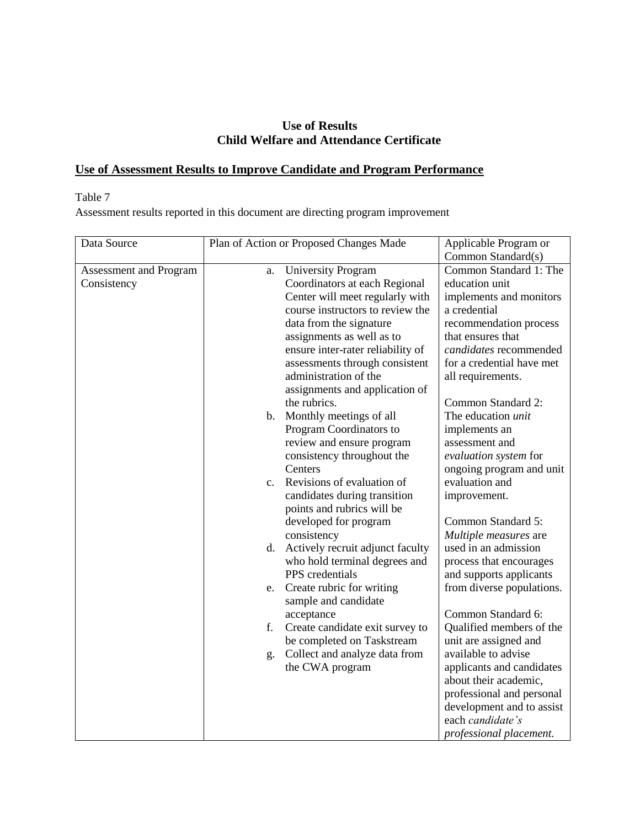# **Use of Results Child Welfare and Attendance Certificate**

# **Use of Assessment Results to Improve Candidate and Program Performance**

# Table 7

Assessment results reported in this document are directing program improvement

| Data Source                           | Plan of Action or Proposed Changes Made |                                                            | Applicable Program or<br>Common Standard(s) |
|---------------------------------------|-----------------------------------------|------------------------------------------------------------|---------------------------------------------|
| Assessment and Program<br>Consistency | a.                                      | <b>University Program</b><br>Coordinators at each Regional | Common Standard 1: The<br>education unit    |
|                                       |                                         | Center will meet regularly with                            | implements and monitors                     |
|                                       |                                         | course instructors to review the                           | a credential                                |
|                                       |                                         | data from the signature                                    | recommendation process                      |
|                                       |                                         | assignments as well as to                                  | that ensures that                           |
|                                       |                                         | ensure inter-rater reliability of                          | candidates recommended                      |
|                                       |                                         | assessments through consistent<br>administration of the    | for a credential have met                   |
|                                       |                                         |                                                            | all requirements.                           |
|                                       |                                         | assignments and application of<br>the rubrics.             | Common Standard 2:                          |
|                                       |                                         | b. Monthly meetings of all                                 | The education unit                          |
|                                       |                                         | Program Coordinators to                                    | implements an                               |
|                                       |                                         | review and ensure program                                  | assessment and                              |
|                                       |                                         | consistency throughout the                                 | evaluation system for                       |
|                                       |                                         | Centers                                                    | ongoing program and unit                    |
|                                       |                                         | c. Revisions of evaluation of                              | evaluation and                              |
|                                       |                                         | candidates during transition                               | improvement.                                |
|                                       |                                         | points and rubrics will be                                 |                                             |
|                                       |                                         | developed for program                                      | Common Standard 5:                          |
|                                       |                                         | consistency                                                | Multiple measures are                       |
|                                       | d.                                      | Actively recruit adjunct faculty                           | used in an admission                        |
|                                       |                                         | who hold terminal degrees and                              | process that encourages                     |
|                                       |                                         | PPS credentials                                            | and supports applicants                     |
|                                       |                                         | e. Create rubric for writing<br>sample and candidate       | from diverse populations.                   |
|                                       |                                         | acceptance                                                 | Common Standard 6:                          |
|                                       | f.                                      | Create candidate exit survey to                            | Qualified members of the                    |
|                                       |                                         | be completed on Taskstream                                 | unit are assigned and                       |
|                                       | g.                                      | Collect and analyze data from                              | available to advise                         |
|                                       |                                         | the CWA program                                            | applicants and candidates                   |
|                                       |                                         |                                                            | about their academic,                       |
|                                       |                                         |                                                            | professional and personal                   |
|                                       |                                         |                                                            | development and to assist                   |
|                                       |                                         |                                                            | each candidate's                            |
|                                       |                                         |                                                            | professional placement.                     |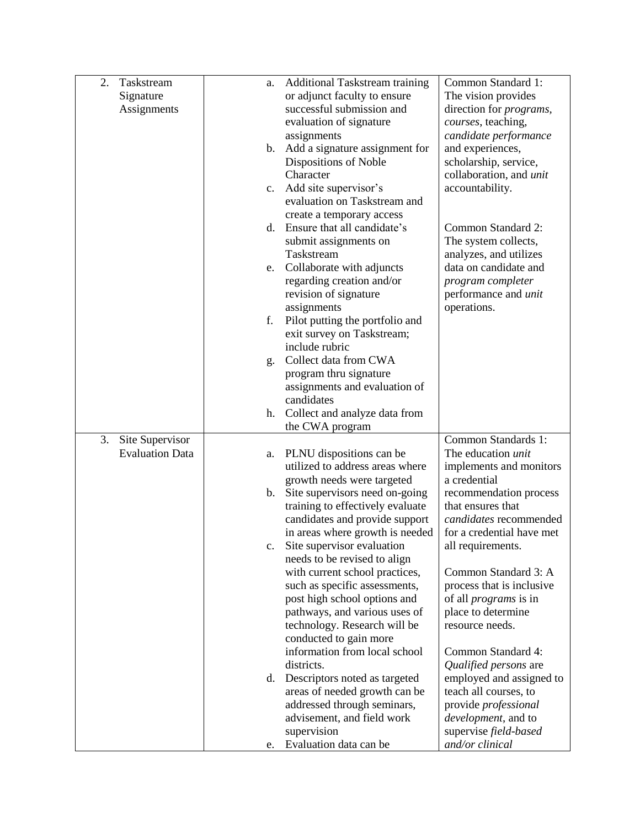| 2. | Taskstream             | a. | Additional Taskstream training                                  | Common Standard 1:                                        |
|----|------------------------|----|-----------------------------------------------------------------|-----------------------------------------------------------|
|    | Signature              |    | or adjunct faculty to ensure                                    | The vision provides                                       |
|    | Assignments            |    | successful submission and                                       | direction for <i>programs</i> ,                           |
|    |                        |    | evaluation of signature                                         | courses, teaching,                                        |
|    |                        |    | assignments                                                     | candidate performance                                     |
|    |                        |    | b. Add a signature assignment for                               | and experiences,                                          |
|    |                        |    | Dispositions of Noble                                           | scholarship, service,                                     |
|    |                        |    | Character                                                       | collaboration, and <i>unit</i>                            |
|    |                        | c. | Add site supervisor's                                           | accountability.                                           |
|    |                        |    | evaluation on Taskstream and                                    |                                                           |
|    |                        |    | create a temporary access                                       |                                                           |
|    |                        | d. | Ensure that all candidate's                                     | Common Standard 2:                                        |
|    |                        |    | submit assignments on                                           | The system collects,                                      |
|    |                        |    | Taskstream                                                      | analyzes, and utilizes                                    |
|    |                        | e. | Collaborate with adjuncts                                       | data on candidate and                                     |
|    |                        |    | regarding creation and/or                                       | program completer                                         |
|    |                        |    | revision of signature                                           | performance and <i>unit</i>                               |
|    |                        |    | assignments                                                     | operations.                                               |
|    |                        | f. | Pilot putting the portfolio and                                 |                                                           |
|    |                        |    | exit survey on Taskstream;                                      |                                                           |
|    |                        |    | include rubric                                                  |                                                           |
|    |                        | g. | Collect data from CWA                                           |                                                           |
|    |                        |    | program thru signature                                          |                                                           |
|    |                        |    | assignments and evaluation of                                   |                                                           |
|    |                        |    | candidates                                                      |                                                           |
|    |                        |    | h. Collect and analyze data from                                |                                                           |
|    |                        |    | the CWA program                                                 |                                                           |
| 3. | Site Supervisor        |    |                                                                 | Common Standards 1:                                       |
|    | <b>Evaluation Data</b> | a. | PLNU dispositions can be                                        | The education unit                                        |
|    |                        |    | utilized to address areas where                                 | implements and monitors                                   |
|    |                        |    | growth needs were targeted                                      | a credential                                              |
|    |                        | b. | Site supervisors need on-going                                  | recommendation process                                    |
|    |                        |    | training to effectively evaluate                                | that ensures that                                         |
|    |                        |    | candidates and provide support                                  | candidates recommended                                    |
|    |                        |    | in areas where growth is needed                                 | for a credential have met                                 |
|    |                        |    | Site supervisor evaluation                                      | all requirements.                                         |
|    |                        |    | needs to be revised to align                                    | Common Standard 3: A                                      |
|    |                        |    | with current school practices,<br>such as specific assessments, |                                                           |
|    |                        |    | post high school options and                                    | process that is inclusive<br>of all <i>programs</i> is in |
|    |                        |    | pathways, and various uses of                                   | place to determine                                        |
|    |                        |    | technology. Research will be                                    | resource needs.                                           |
|    |                        |    | conducted to gain more                                          |                                                           |
|    |                        |    | information from local school                                   | Common Standard 4:                                        |
|    |                        |    | districts.                                                      | Qualified persons are                                     |
|    |                        |    | d. Descriptors noted as targeted                                | employed and assigned to                                  |
|    |                        |    | areas of needed growth can be                                   | teach all courses, to                                     |
|    |                        |    | addressed through seminars,                                     | provide professional                                      |
|    |                        |    | advisement, and field work                                      | development, and to                                       |
|    |                        |    | supervision                                                     | supervise field-based                                     |
|    |                        | e. | Evaluation data can be                                          | and/or clinical                                           |